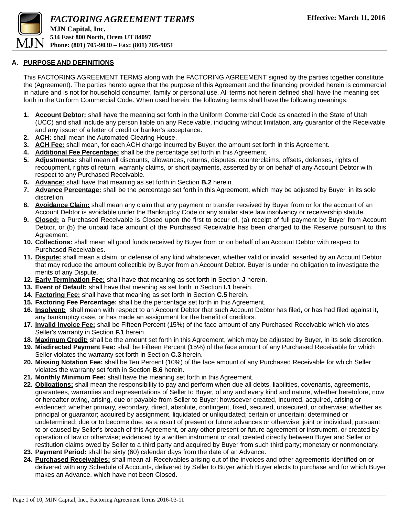

### **A. PURPOSE AND DEFINITIONS**

This FACTORING AGREEMENT TERMS along with the FACTORING AGREEMENT signed by the parties together constitute the (Agreement). The parties hereto agree that the purpose of this Agreement and the financing provided herein is commercial in nature and is not for household consumer, family or personal use. All terms not herein defined shall have the meaning set forth in the Uniform Commercial Code. When used herein, the following terms shall have the following meanings:

- **1. Account Debtor:** shall have the meaning set forth in the Uniform Commercial Code as enacted in the State of Utah (UCC) and shall include any person liable on any Receivable, including without limitation, any guarantor of the Receivable and any issuer of a letter of credit or banker's acceptance.
- **2. ACH:** shall mean the Automated Clearing House.
- **3. ACH Fee:** shall mean, for each ACH charge incurred by Buyer, the amount set forth in this Agreement.
- **4. Additional Fee Percentage:** shall be the percentage set forth in this Agreement.
- **5. Adjustments:** shall mean all discounts, allowances, returns, disputes, counterclaims, offsets, defenses, rights of recoupment, rights of return, warranty claims, or short payments, asserted by or on behalf of any Account Debtor with respect to any Purchased Receivable.
- **6. Advance:** shall have that meaning as set forth in Section **B.2** herein.
- **7. Advance Percentage:** shall be the percentage set forth in this Agreement, which may be adjusted by Buyer, in its sole discretion.
- **8. Avoidance Claim:** shall mean any claim that any payment or transfer received by Buyer from or for the account of an Account Debtor is avoidable under the Bankruptcy Code or any similar state law insolvency or receivership statute.
- **9. Closed:** a Purchased Receivable is Closed upon the first to occur of, (a) receipt of full payment by Buyer from Account Debtor, or (b) the unpaid face amount of the Purchased Receivable has been charged to the Reserve pursuant to this Agreement.
- **10. Collections:** shall mean all good funds received by Buyer from or on behalf of an Account Debtor with respect to Purchased Receivables.
- **11. Dispute:** shall mean a claim, or defense of any kind whatsoever, whether valid or invalid, asserted by an Account Debtor that may reduce the amount collectible by Buyer from an Account Debtor. Buyer is under no obligation to investigate the merits of any Dispute.
- **12. Early Termination Fee:** shall have that meaning as set forth in Section **J** herein.
- **13. Event of Default:** shall have that meaning as set forth in Section **I.1** herein.
- **14. Factoring Fee:** shall have that meaning as set forth in Section **C.5** herein.
- **15. Factoring Fee Percentage:** shall be the percentage set forth in this Agreement.
- **16. Insolvent:** shall mean with respect to an Account Debtor that such Account Debtor has filed, or has had filed against it, any bankruptcy case, or has made an assignment for the benefit of creditors.
- **17. Invalid Invoice Fee:** shall be Fifteen Percent (15%) of the face amount of any Purchased Receivable which violates Seller's warranty in Section **F.1** herein.
- **18. Maximum Credit:** shall be the amount set forth in this Agreement, which may be adjusted by Buyer, in its sole discretion.
- **19. Misdirected Payment Fee:** shall be Fifteen Percent (15%) of the face amount of any Purchased Receivable for which Seller violates the warranty set forth in Section **C.3** herein.
- **20. Missing Notation Fee:** shall be Ten Percent (10%) of the face amount of any Purchased Receivable for which Seller violates the warranty set forth in Section **B.6** herein.
- **21. Monthly Minimum Fee:** shall have the meaning set forth in this Agreement.
- **22. Obligations:** shall mean the responsibility to pay and perform when due all debts, liabilities, covenants, agreements, guarantees, warranties and representations of Seller to Buyer, of any and every kind and nature, whether heretofore, now or hereafter owing, arising, due or payable from Seller to Buyer; howsoever created, incurred, acquired, arising or evidenced; whether primary, secondary, direct, absolute, contingent, fixed, secured, unsecured, or otherwise; whether as principal or guarantor; acquired by assignment, liquidated or unliquidated; certain or uncertain; determined or undetermined; due or to become due; as a result of present or future advances or otherwise; joint or individual; pursuant to or caused by Seller's breach of this Agreement, or any other present or future agreement or instrument, or created by operation of law or otherwise; evidenced by a written instrument or oral; created directly between Buyer and Seller or restitution claims owed by Seller to a third party and acquired by Buyer from such third party; monetary or nonmonetary.
- **23. Payment Period:** shall be sixty (60) calendar days from the date of an Advance.
- **24. Purchased Receivables:** shall mean all Receivables arising out of the invoices and other agreements identified on or delivered with any Schedule of Accounts, delivered by Seller to Buyer which Buyer elects to purchase and for which Buyer makes an Advance, which have not been Closed.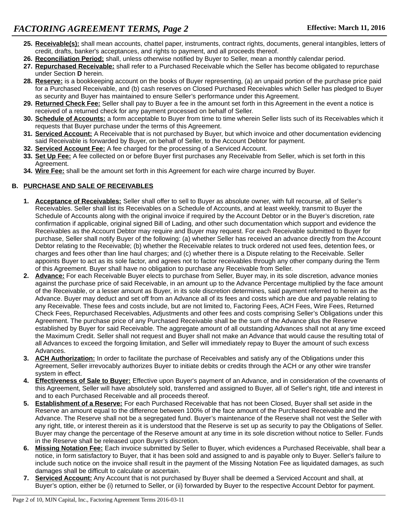- **25. Receivable(s):** shall mean accounts, chattel paper, instruments, contract rights, documents, general intangibles, letters of credit, drafts, banker's acceptances, and rights to payment, and all proceeds thereof.
- **26. Reconciliation Period:** shall, unless otherwise notified by Buyer to Seller, mean a monthly calendar period.
- **27. Repurchased Receivable:** shall refer to a Purchased Receivable which the Seller has become obligated to repurchase under Section **D** herein.
- **28. Reserve:** is a bookkeeping account on the books of Buyer representing, (a) an unpaid portion of the purchase price paid for a Purchased Receivable, and (b) cash reserves on Closed Purchased Receivables which Seller has pledged to Buyer as security and Buyer has maintained to ensure Seller's performance under this Agreement.
- **29. Returned Check Fee:** Seller shall pay to Buyer a fee in the amount set forth in this Agreement in the event a notice is received of a returned check for any payment processed on behalf of Seller.
- **30. Schedule of Accounts:** a form acceptable to Buyer from time to time wherein Seller lists such of its Receivables which it requests that Buyer purchase under the terms of this Agreement.
- **31. Serviced Account:** A Receivable that is not purchased by Buyer, but which invoice and other documentation evidencing said Receivable is forwarded by Buyer, on behalf of Seller, to the Account Debtor for payment.
- **32. Serviced Account Fee:** A fee charged for the processing of a Serviced Account.
- **33. Set Up Fee:** A fee collected on or before Buyer first purchases any Receivable from Seller, which is set forth in this Agreement.
- **34. Wire Fee:** shall be the amount set forth in this Agreement for each wire charge incurred by Buyer.

# **B. PURCHASE AND SALE OF RECEIVABLES**

- **1. Acceptance of Receivables:** Seller shall offer to sell to Buyer as absolute owner, with full recourse, all of Seller's Receivables. Seller shall list its Receivables on a Schedule of Accounts, and at least weekly, transmit to Buyer the Schedule of Accounts along with the original invoice if required by the Account Debtor or in the Buyer's discretion, rate confirmation if applicable, original signed Bill of Lading, and other such documentation which support and evidence the Receivables as the Account Debtor may require and Buyer may request. For each Receivable submitted to Buyer for purchase, Seller shall notify Buyer of the following: (a) whether Seller has received an advance directly from the Account Debtor relating to the Receivable; (b) whether the Receivable relates to truck ordered not used fees, detention fees, or charges and fees other than line haul charges; and (c) whether there is a Dispute relating to the Receivable. Seller appoints Buyer to act as its sole factor, and agrees not to factor receivables through any other company during the Term of this Agreement. Buyer shall have no obligation to purchase any Receivable from Seller.
- **2. Advance:** For each Receivable Buyer elects to purchase from Seller, Buyer may, in its sole discretion, advance monies against the purchase price of said Receivable, in an amount up to the Advance Percentage multiplied by the face amount of the Receivable, or a lesser amount as Buyer, in its sole discretion determines, said payment referred to herein as the Advance. Buyer may deduct and set off from an Advance all of its fees and costs which are due and payable relating to any Receivable. These fees and costs include, but are not limited to, Factoring Fees, ACH Fees, Wire Fees, Returned Check Fees, Repurchased Receivables, Adjustments and other fees and costs comprising Seller's Obligations under this Agreement. The purchase price of any Purchased Receivable shall be the sum of the Advance plus the Reserve established by Buyer for said Receivable. The aggregate amount of all outstanding Advances shall not at any time exceed the Maximum Credit. Seller shall not request and Buyer shall not make an Advance that would cause the resulting total of all Advances to exceed the forgoing limitation, and Seller will immediately repay to Buyer the amount of such excess Advances.
- **3. ACH Authorization:** In order to facilitate the purchase of Receivables and satisfy any of the Obligations under this Agreement, Seller irrevocably authorizes Buyer to initiate debits or credits through the ACH or any other wire transfer system in effect.
- **4. Effectiveness of Sale to Buyer:** Effective upon Buyer's payment of an Advance, and in consideration of the covenants of this Agreement, Seller will have absolutely sold, transferred and assigned to Buyer, all of Seller's right, title and interest in and to each Purchased Receivable and all proceeds thereof.
- **5. Establishment of a Reserve:** For each Purchased Receivable that has not been Closed, Buyer shall set aside in the Reserve an amount equal to the difference between 100% of the face amount of the Purchased Receivable and the Advance. The Reserve shall not be a segregated fund. Buyer's maintenance of the Reserve shall not vest the Seller with any right, title, or interest therein as it is understood that the Reserve is set up as security to pay the Obligations of Seller. Buyer may change the percentage of the Reserve amount at any time in its sole discretion without notice to Seller. Funds in the Reserve shall be released upon Buyer's discretion.
- **6. Missing Notation Fee:** Each invoice submitted by Seller to Buyer, which evidences a Purchased Receivable, shall bear a notice, in form satisfactory to Buyer, that it has been sold and assigned to and is payable only to Buyer. Seller's failure to include such notice on the invoice shall result in the payment of the Missing Notation Fee as liquidated damages, as such damages shall be difficult to calculate or ascertain.
- **7. Serviced Account:** Any Account that is not purchased by Buyer shall be deemed a Serviced Account and shall, at Buyer's option, either be (i) returned to Seller, or (ii) forwarded by Buyer to the respective Account Debtor for payment.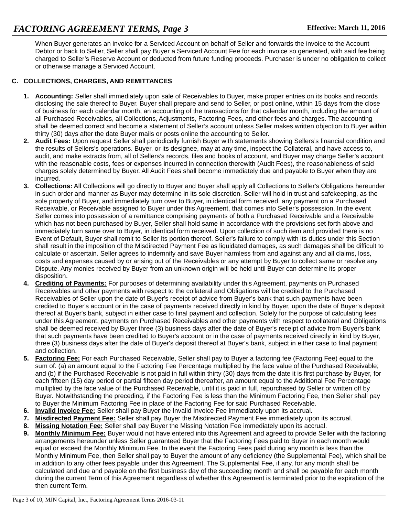When Buyer generates an invoice for a Serviced Account on behalf of Seller and forwards the invoice to the Account Debtor or back to Seller, Seller shall pay Buyer a Serviced Account Fee for each invoice so generated, with said fee being charged to Seller's Reserve Account or deducted from future funding proceeds. Purchaser is under no obligation to collect or otherwise manage a Serviced Account.

## **C. COLLECTIONS, CHARGES, AND REMITTANCES**

- **1. Accounting:** Seller shall immediately upon sale of Receivables to Buyer, make proper entries on its books and records disclosing the sale thereof to Buyer. Buyer shall prepare and send to Seller, or post online, within 15 days from the close of business for each calendar month, an accounting of the transactions for that calendar month, including the amount of all Purchased Receivables, all Collections, Adjustments, Factoring Fees, and other fees and charges. The accounting shall be deemed correct and become a statement of Seller's account unless Seller makes written objection to Buyer within thirty (30) days after the date Buyer mails or posts online the accounting to Seller.
- **2. Audit Fees:** Upon request Seller shall periodically furnish Buyer with statements showing Sellers's financial condition and the results of Sellers's operations. Buyer, or its designee, may at any time, inspect the Collateral, and have access to, audit, and make extracts from, all of Sellers's records, files and books of account, and Buyer may charge Seller's account with the reasonable costs, fees or expenses incurred in connection therewith (Audit Fees), the reasonableness of said charges solely determined by Buyer. All Audit Fees shall become immediately due and payable to Buyer when they are incurred.
- **3. Collections:** All Collections will go directly to Buyer and Buyer shall apply all Collections to Seller's Obligations hereunder in such order and manner as Buyer may determine in its sole discretion. Seller will hold in trust and safekeeping, as the sole property of Buyer, and immediately turn over to Buyer, in identical form received, any payment on a Purchased Receivable, or Receivable assigned to Buyer under this Agreement, that comes into Seller's possession. In the event Seller comes into possession of a remittance comprising payments of both a Purchased Receivable and a Receivable which has not been purchased by Buyer, Seller shall hold same in accordance with the provisions set forth above and immediately turn same over to Buyer, in identical form received. Upon collection of such item and provided there is no Event of Default, Buyer shall remit to Seller its portion thereof. Seller's failure to comply with its duties under this Section shall result in the imposition of the Misdirected Payment Fee as liquidated damages, as such damages shall be difficult to calculate or ascertain. Seller agrees to indemnify and save Buyer harmless from and against any and all claims, loss, costs and expenses caused by or arising out of the Receivables or any attempt by Buyer to collect same or resolve any Dispute. Any monies received by Buyer from an unknown origin will be held until Buyer can determine its proper disposition.
- **4. Crediting of Payments:** For purposes of determining availability under this Agreement, payments on Purchased Receivables and other payments with respect to the collateral and Obligations will be credited to the Purchased Receivables of Seller upon the date of Buyer's receipt of advice from Buyer's bank that such payments have been credited to Buyer's account or in the case of payments received directly in kind by Buyer, upon the date of Buyer's deposit thereof at Buyer's bank, subject in either case to final payment and collection. Solely for the purpose of calculating fees under this Agreement, payments on Purchased Receivables and other payments with respect to collateral and Obligations shall be deemed received by Buyer three (3) business days after the date of Buyer's receipt of advice from Buyer's bank that such payments have been credited to Buyer's account or in the case of payments received directly in kind by Buyer, three (3) business days after the date of Buyer's deposit thereof at Buyer's bank, subject in either case to final payment and collection.
- **5. Factoring Fee:** For each Purchased Receivable, Seller shall pay to Buyer a factoring fee (Factoring Fee) equal to the sum of: (a) an amount equal to the Factoring Fee Percentage multiplied by the face value of the Purchased Receivable; and (b) if the Purchased Receivable is not paid in full within thirty (30) days from the date it is first purchase by Buyer, for each fifteen (15) day period or partial fifteen day period thereafter, an amount equal to the Additional Fee Percentage multiplied by the face value of the Purchased Receivable, until it is paid in full, repurchased by Seller or written off by Buyer. Notwithstanding the preceding, if the Factoring Fee is less than the Minimum Factoring Fee, then Seller shall pay to Buyer the Minimum Factoring Fee in place of the Factoring Fee for said Purchased Receivable.
- **6. Invalid Invoice Fee:** Seller shall pay Buyer the Invalid Invoice Fee immediately upon its accrual.
- **7. Misdirected Payment Fee:** Seller shall pay Buyer the Misdirected Payment Fee immediately upon its accrual.
- **8. Missing Notation Fee:** Seller shall pay Buyer the Missing Notation Fee immediately upon its accrual.
- **9. Monthly Minimum Fee:** Buyer would not have entered into this Agreement and agreed to provide Seller with the factoring arrangements hereunder unless Seller guaranteed Buyer that the Factoring Fees paid to Buyer in each month would equal or exceed the Monthly Minimum Fee. In the event the Factoring Fees paid during any month is less than the Monthly Minimum Fee, then Seller shall pay to Buyer the amount of any deficiency (the Supplemental Fee), which shall be in addition to any other fees payable under this Agreement. The Supplemental Fee, if any, for any month shall be calculated and due and payable on the first business day of the succeeding month and shall be payable for each month during the current Term of this Agreement regardless of whether this Agreement is terminated prior to the expiration of the then current Term.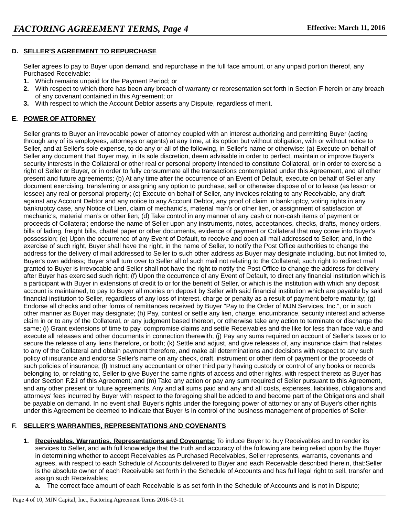## **D. SELLER'S AGREEMENT TO REPURCHASE**

Seller agrees to pay to Buyer upon demand, and repurchase in the full face amount, or any unpaid portion thereof, any Purchased Receivable:

- **1.** Which remains unpaid for the Payment Period; or
- **2.** With respect to which there has been any breach of warranty or representation set forth in Section **F** herein or any breach of any covenant contained in this Agreement; or
- **3.** With respect to which the Account Debtor asserts any Dispute, regardless of merit.

# **E. POWER OF ATTORNEY**

Seller grants to Buyer an irrevocable power of attorney coupled with an interest authorizing and permitting Buyer (acting through any of its employees, attorneys or agents) at any time, at its option but without obligation, with or without notice to Seller, and at Seller's sole expense, to do any or all of the following, in Seller's name or otherwise: (a) Execute on behalf of Seller any document that Buyer may, in its sole discretion, deem advisable in order to perfect, maintain or improve Buyer's security interests in the Collateral or other real or personal property intended to constitute Collateral, or in order to exercise a right of Seller or Buyer, or in order to fully consummate all the transactions contemplated under this Agreement, and all other present and future agreements; (b) At any time after the occurrence of an Event of Default, execute on behalf of Seller any document exercising, transferring or assigning any option to purchase, sell or otherwise dispose of or to lease (as lessor or lessee) any real or personal property; (c) Execute on behalf of Seller, any invoices relating to any Receivable, any draft against any Account Debtor and any notice to any Account Debtor, any proof of claim in bankruptcy, voting rights in any bankruptcy case, any Notice of Lien, claim of mechanic's, material man's or other lien, or assignment of satisfaction of mechanic's, material man's or other lien; (d) Take control in any manner of any cash or non-cash items of payment or proceeds of Collateral; endorse the name of Seller upon any instruments, notes, acceptances, checks, drafts, money orders, bills of lading, freight bills, chattel paper or other documents, evidence of payment or Collateral that may come into Buyer's possession; (e) Upon the occurrence of any Event of Default, to receive and open all mail addressed to Seller; and, in the exercise of such right, Buyer shall have the right, in the name of Seller, to notify the Post Office authorities to change the address for the delivery of mail addressed to Seller to such other address as Buyer may designate including, but not limited to, Buyer's own address; Buyer shall turn over to Seller all of such mail not relating to the Collateral; such right to redirect mail granted to Buyer is irrevocable and Seller shall not have the right to notify the Post Office to change the address for delivery after Buyer has exercised such right; (f) Upon the occurrence of any Event of Default, to direct any financial institution which is a participant with Buyer in extensions of credit to or for the benefit of Seller, or which is the institution with which any deposit account is maintained, to pay to Buyer all monies on deposit by Seller with said financial institution which are payable by said financial institution to Seller, regardless of any loss of interest, charge or penalty as a result of payment before maturity; (g) Endorse all checks and other forms of remittances received by Buyer "Pay to the Order of MJN Services, Inc.", or in such other manner as Buyer may designate; (h) Pay, contest or settle any lien, charge, encumbrance, security interest and adverse claim in or to any of the Collateral, or any judgment based thereon, or otherwise take any action to terminate or discharge the same; (i) Grant extensions of time to pay, compromise claims and settle Receivables and the like for less than face value and execute all releases and other documents in connection therewith; (j) Pay any sums required on account of Seller's taxes or to secure the release of any liens therefore, or both; (k) Settle and adjust, and give releases of, any insurance claim that relates to any of the Collateral and obtain payment therefore, and make all determinations and decisions with respect to any such policy of insurance and endorse Seller's name on any check, draft, instrument or other item of payment or the proceeds of such policies of insurance; (l) Instruct any accountant or other third party having custody or control of any books or records belonging to, or relating to, Seller to give Buyer the same rights of access and other rights, with respect thereto as Buyer has under Section **F.2.i** of this Agreement; and (m) Take any action or pay any sum required of Seller pursuant to this Agreement, and any other present or future agreements. Any and all sums paid and any and all costs, expenses, liabilities, obligations and attorneys' fees incurred by Buyer with respect to the foregoing shall be added to and become part of the Obligations and shall be payable on demand. In no event shall Buyer's rights under the foregoing power of attorney or any of Buyer's other rights under this Agreement be deemed to indicate that Buyer *is* in control of the business management of properties of Seller.

# **F. SELLER'S WARRANTIES, REPRESENTATIONS AND COVENANTS**

- **1. Receivables, Warranties, Representations and Covenants:** To induce Buyer to buy Receivables and to render its services to Seller, and with full knowledge that the truth and accuracy of the following are being relied upon by the Buyer in determining whether to accept Receivables as Purchased Receivables, Seller represents, warrants, covenants and agrees, with respect to each Schedule of Accounts delivered to Buyer and each Receivable described therein, that:Seller is the absolute owner of each Receivable set forth in the Schedule of Accounts and has full legal right to sell, transfer and assign such Receivables;
	- **a.** The correct face amount of each Receivable is as set forth in the Schedule of Accounts and is not in Dispute;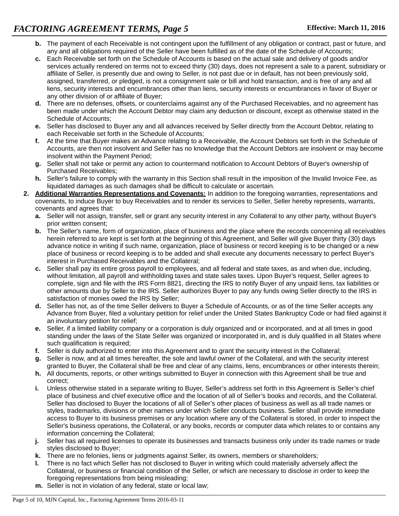- **b.** The payment of each Receivable is not contingent upon the fulfillment of any obligation or contract, past or future, and any and all obligations required of the Seller have been fulfilled as of the date of the Schedule of Accounts;
- **c.** Each Receivable set forth on the Schedule of Accounts is based on the actual sale and delivery of goods and/or services actually rendered on terms not to exceed thirty (30) days, does not represent a sale to a parent, subsidiary or affiliate of Seller, is presently due and owing to Seller, is not past due or in default, has not been previously sold, assigned, transferred, or pledged, is not a consignment sale or bill and hold transaction, and is free of any and all liens, security interests and encumbrances other than liens, security interests or encumbrances in favor of Buyer or any other division of or affiliate of Buyer;
- **d.** There are no defenses, offsets, or counterclaims against any of the Purchased Receivables, and no agreement has been made under which the Account Debtor may claim any deduction or discount, except as otherwise stated in the Schedule of Accounts;
- **e.** Seller has disclosed to Buyer any and all advances received by Seller directly from the Account Debtor, relating to each Receivable set forth in the Schedule of Accounts;
- **f.** At the time that Buyer makes an Advance relating to a Receivable, the Account Debtors set forth in the Schedule of Accounts, are then not insolvent and Seller has no knowledge that the Account Debtors are insolvent or may become insolvent within the Payment Period;
- **g.** Seller shall not take or permit any action to countermand notification to Account Debtors of Buyer's ownership of Purchased Receivables;
- **h.** Seller's failure to comply with the warranty in this Section shall result in the imposition of the Invalid Invoice Fee, as liquidated damages as such damages shall be difficult to calculate or ascertain.
- **2. Additional Warranties Representations and Covenants:** In addition to the foregoing warranties, representations and covenants, to induce Buyer to buy Receivables and to render its services to Seller, Seller hereby represents, warrants, covenants and agrees that:
	- **a.** Seller will not assign, transfer, sell or grant any security interest in any Collateral to any other party, without Buyer's prior written consent;
	- **b.** The Seller's name, form of organization, place of business and the place where the records concerning all receivables herein referred to are kept is set forth at the beginning of this Agreement, and Seller will give Buyer thirty (30) days advance notice in writing if such name, organization, place of business or record keeping is to be changed or a new place of business or record keeping is to be added and shall execute any documents necessary to perfect Buyer's interest in Purchased Receivables and the Collateral;
	- **c.** Seller shall pay its entire gross payroll to employees, and all federal and state taxes, as and when due, including, without limitation, all payroll and withholding taxes and state sales taxes. Upon Buyer's request, Seller agrees to complete, sign and file with the IRS Form 8821, directing the IRS to notify Buyer of any unpaid liens, tax liabilities or other amounts due by Seller to the IRS. Seller authorizes Buyer to pay any funds owing Seller directly to the IRS in satisfaction of monies owed the IRS by Seller;
	- **d.** Seller has not, as of the time Seller delivers to Buyer a Schedule of Accounts, or as of the time Seller accepts any Advance from Buyer, filed a voluntary petition for relief under the United States Bankruptcy Code or had filed against it an involuntary petition for relief;
	- **e.** Seller, if a limited liability company or a corporation is duly organized and or incorporated, and at all times in good standing under the laws of the State Seller was organized or incorporated in, and is duly qualified in all States where such qualification is required;
	- **f.** Seller is duly authorized to enter into this Agreement and to grant the security interest in the Collateral;
	- **g.** Seller is now, and at all times hereafter, the sole and lawful owner of the Collateral, and with the security interest granted to Buyer, the Collateral shall be free and clear of any claims, liens, encumbrances or other interests therein;
	- **h.** All documents, reports, or other writings submitted to Buyer in connection with this Agreement shall be true and correct;
	- **i.** Unless otherwise stated in a separate writing to Buyer, Seller's address set forth in this Agreement is Seller's chief place of business and chief executive office and the location of all of Seller's books and records, and the Collateral. Seller has disclosed to Buyer the locations of all of Seller's other places of business as well as all trade names or styles, trademarks, divisions or other names under which Seller conducts business. Seller shall provide immediate access to Buyer to its business premises or any location where any of the Collateral is stored, in order to inspect the Seller's business operations, the Collateral, or any books, records or computer data which relates to or contains any information concerning the Collateral;
	- **j.** Seller has all required licenses to operate its businesses and transacts business only under its trade names or trade styles disclosed to Buyer;
	- **k.** There are no felonies, liens or judgments against Seller, its owners, members or shareholders;
	- **l.** There is no fact which Seller has not disclosed to Buyer in writing which could materially adversely affect the Collateral, or business or financial condition of the Seller, or which are necessary to disclose in order to keep the foregoing representations from being misleading;
	- **m.** Seller is not in violation of any federal, state or local law;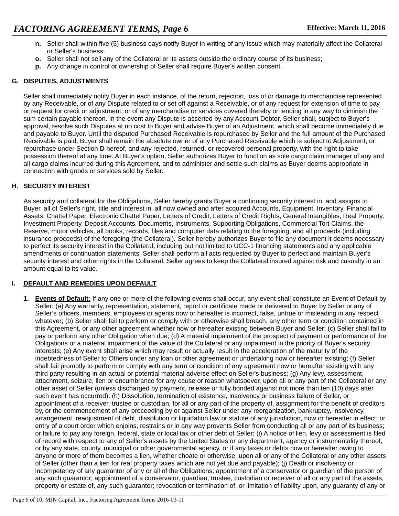- **n.** Seller shall within five (5) business days notify Buyer in writing of any issue which may materially affect the Collateral or Seller's business;
- **o.** Seller shall not sell any of the Collateral or its assets outside the ordinary course of its business;
- **p.** Any change in control or ownership of Seller shall require Buyer's written consent.

## **G. DISPUTES, ADJUSTMENTS**

Seller shall immediately notify Buyer in each instance, of the return, rejection, loss of or damage to merchandise represented by any Receivable, or of any Dispute related to or set off against a Receivable, or of any request for extension of time to pay or request for credit or adjustment, or of any merchandise or services covered thereby or tending in any way to diminish the sum certain payable thereon. In the event any Dispute is asserted by any Account Debtor, Seller shall, subject to Buyer's approval, resolve such Disputes at no cost to Buyer and advise Buyer of an Adjustment, which shall become immediately due and payable to Buyer. Until the disputed Purchased Receivable is repurchased by Seller and the full amount of the Purchased Receivable is paid, Buyer shall remain the absolute owner of any Purchased Receivable which is subject to Adjustment, or repurchase under Section **D** hereof, and any rejected, returned, or recovered personal property, with the right to take possession thereof at any time. At Buyer's option, Seller authorizes Buyer to function as sole cargo claim manager of any and all cargo claims incurred during this Agreement, and to administer and settle such claims as Buyer deems appropriate in connection with goods or services sold by Seller.

## **H. SECURITY INTEREST**

As security and collateral for the Obligations, Seller hereby grants Buyer a continuing security interest in, and assigns to Buyer, all of Seller's right, title and interest in, all now owned and after acquired Accounts, Equipment, Inventory, Financial Assets, Chattel Paper, Electronic Chattel Paper, Letters of Credit, Letters of Credit Rights, General Intangibles, Real Property, Investment Property, Deposit Accounts, Documents, Instruments, Supporting Obligations, Commercial Tort Claims, the Reserve, motor vehicles, all books, records, files and computer data relating to the foregoing, and all proceeds (including insurance proceeds) of the foregoing (the Collateral). Seller hereby authorizes Buyer to file any document it deems necessary to perfect its security interest in the Collateral, including but not limited to UCC-1 financing statements and any applicable amendments or continuation statements. Seller shall perform all acts requested by Buyer to perfect and maintain Buyer's security interest and other rights in the Collateral. Seller agrees to keep the Collateral insured against risk and casualty in an amount equal to its value.

### **I. DEFAULT AND REMEDIES UPON DEFAULT**

**1. Events of Default:** If any one or more of the following events shall occur, any event shall constitute an Event of Default by Seller: (a) Any warranty, representation, statement, report or certificate made or delivered to Buyer by Seller or any of Seller's officers, members, employees or agents now or hereafter is incorrect, false, untrue or misleading in any respect whatever; (b) Seller shall fail to perform or comply with or otherwise shall breach, any other term or condition contained in this Agreement, or any other agreement whether now or hereafter existing between Buyer and Seller; (c) Seller shall fail to pay or perform any other Obligation when due; (d) A material impairment of the prospect of payment or performance of the Obligations or a material impairment of the value of the Collateral or any impairment in the priority of Buyer's security interests; (e) Any event shall arise which may result or actually result in the acceleration of the maturity of the indebtedness of Seller to Others under any loan or other agreement or undertaking now or hereafter existing; (f) Seller shall fail promptly to perform or comply with any term or condition of any agreement now or hereafter existing with any third party resulting in an actual or potential material adverse effect on Seller's business; (g) Any levy, assessment, attachment, seizure, lien or encumbrance for any cause or reason whatsoever, upon all or any part of the Collateral or any other asset of Seller (unless discharged by payment, release or fully bonded against not more than ten (10) days after such event has occurred); (h) Dissolution, termination of existence, insolvency or business failure of Seller, or appointment of a receiver, trustee or custodian, for all or any part of the property of, assignment for the benefit of creditors by, or the commencement of any proceeding by or against Seller under any reorganization, bankruptcy, insolvency, arrangement, readjustment of debt, dissolution or liquidation law or statute of any jurisdiction, now or hereafter in effect; or entry of a court order which enjoins, restrains or in any way prevents Seller from conducting all or any part of its business; or failure to pay any foreign, federal, state or local tax or other debt of Seller; (i) A notice of lien, levy or assessment is filed of record with respect to any of Seller's assets by the United States or any department, agency or instrumentality thereof, or by any state, county, municipal or other governmental agency, or if any taxes or debts now or hereafter owing to anyone or more of them becomes a lien, whether choate or otherwise, upon all or any of the Collateral or any other assets of Seller (other than a lien for real property taxes which are not yet due and payable); (j) Death or insolvency or incompetency of any guarantor of any or all of the Obligations; appointment of a conservator or guardian of the person of any such guarantor; appointment of a conservator, guardian, trustee, custodian or receiver of all or any part of the assets, property or estate of, any such guarantor; revocation or termination of, or limitation of liability upon, any guaranty of any or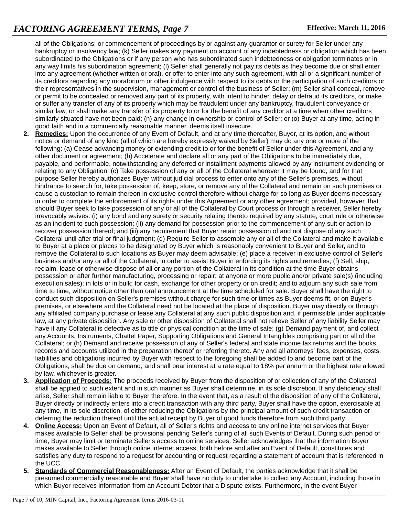all of the Obligations; or commencement of proceedings by or against any guarantor or surety for Seller under any bankruptcy or insolvency law; (k) Seller makes any payment on account of any indebtedness or obligation which has been subordinated to the Obligations or if any person who has subordinated such indebtedness or obligation terminates or in any way limits his subordination agreement; (I) Seller shall generally not pay its debts as they become due or shall enter into any agreement (whether written or oral), or offer to enter into any such agreement, with all or a significant number of its creditors regarding any moratorium or other indulgence with respect to its debts or the participation of such creditors or their representatives in the supervision, management or control of the business of Seller; (m) Seller shall conceal, remove or permit to be concealed or removed any part of its property, with intent to hinder, delay or defraud its creditors, or make or suffer any transfer of any of its property which may be fraudulent under any bankruptcy, fraudulent conveyance or similar law, or shall make any transfer of its property to or for the benefit of any creditor at a time when other creditors similarly situated have not been paid; (n) any change in ownership or control of Seller; or (o) Buyer at any time, acting in good faith and in a commercially reasonable manner, deems itself insecure.

- **2. Remedies:** Upon the occurrence of any Event of Default, and at any time thereafter, Buyer, at its option, and without notice or demand of any kind (all of which are hereby expressly waived by Seller) may do any one or more of the following: (a) Cease advancing money or extending credit to or for the benefit of Seller under this Agreement, and any other document or agreement; (b) Accelerate and declare all or any part of the Obligations to be immediately due, payable, and performable, notwithstanding any deferred or installment payments allowed by any instrument evidencing or relating to any Obligation; (c) Take possession of any or all of the Collateral wherever it may be found, and for that purpose Seller hereby authorizes Buyer without judicial process to enter onto any of the Seller's premises, without hindrance to search for, take possession of, keep, store, or remove any of the Collateral and remain on such premises or cause a custodian to remain thereon in exclusive control therefore without charge for so long as Buyer deems necessary in order to complete the enforcement of its rights under this Agreement or any other agreement; provided, however, that should Buyer seek to take possession of any or all of the Collateral by Court process or through a receiver, Seller hereby irrevocably waives: (i) any bond and any surety or security relating thereto required by any statute, court rule or otherwise as an incident to such possession; (ii) any demand for possession prior to the commencement of any suit or action to recover possession thereof; and (iii) any requirement that Buyer retain possession of and not dispose of any such Collateral until after trial or final judgment; (d) Require Seller to assemble any or all of the Collateral and make it available to Buyer at a place or places to be designated by Buyer which is reasonably convenient to Buyer and Seller, and to remove the Collateral to such locations as Buyer may deem advisable; (e) place a receiver in exclusive control of Seller's business and/or any or all of the Collateral, in order to assist Buyer in enforcing its rights and remedies; (f) Sell, ship, reclaim, lease or otherwise dispose of all or any portion of the Collateral in its condition at the time Buyer obtains possession or after further manufacturing, processing or repair; at anyone or more public and/or private sale(s) (including execution sales); in lots or in bulk; for cash, exchange for other property or on credit; and to adjourn any such sale from time to time, without notice other than oral announcement at the time scheduled for sale. Buyer shall have the right to conduct such disposition on Seller's premises without charge for such time or times as Buyer deems fit, or on Buyer's premises, or elsewhere and the Collateral need not be located at the place of disposition. Buyer may directly or through any affiliated company purchase or lease any Collateral at any such public disposition and, if permissible under applicable law, at any private disposition. Any sale or other disposition of Collateral shall not relieve Seller of any liability Seller may have if any Collateral is defective as to title or physical condition at the time of sale; (g) Demand payment of, and collect any Accounts, Instruments, Chattel Paper, Supporting Obligations and General Intangibles comprising part or all of the Collateral; or (h) Demand and receive possession of any of Seller's federal and state income tax returns and the books, records and accounts utilized in the preparation thereof or referring thereto. Any and all attorneys' fees, expenses, costs, liabilities and obligations incurred by Buyer with respect to the foregoing shall be added to and become part of the Obligations, shall be due on demand, and shall bear interest at a rate equal to 18% per annum or the highest rate allowed by law, whichever is greater.
- **3. Application of Proceeds:** The proceeds received by Buyer from the disposition of or collection of any of the Collateral shall be applied to such extent and in such manner as Buyer shall determine, in its sole discretion. If any deficiency shall arise, Seller shall remain liable to Buyer therefore. In the event that, as a result of the disposition of any of the Collateral, Buyer directly or indirectly enters into a credit transaction with any third party, Buyer shall have the option, exercisable at any time, in its sole discretion, of either reducing the Obligations by the principal amount of such credit transaction or deferring the reduction thereof until the actual receipt by Buyer of good funds therefore from such third party.
- **4. Online Access:** Upon an Event of Default, all of Seller's rights and access to any online internet services that Buyer makes available to Seller shall be provisional pending Seller's curing of all such Events of Default. During such period of time, Buyer may limit or terminate Seller's access to online services. Seller acknowledges that the information Buyer makes available to Seller through online internet access, both before and after an Event of Default, constitutes and satisfies any duty to respond to a request for accounting or request regarding a statement of account that is referenced in the UCC.
- **5. Standards of Commercial Reasonableness:** After an Event of Default, the parties acknowledge that it shall be presumed commercially reasonable and Buyer shall have no duty to undertake to collect any Account, including those in which Buyer receives information from an Account Debtor that a Dispute exists. Furthermore, in the event Buyer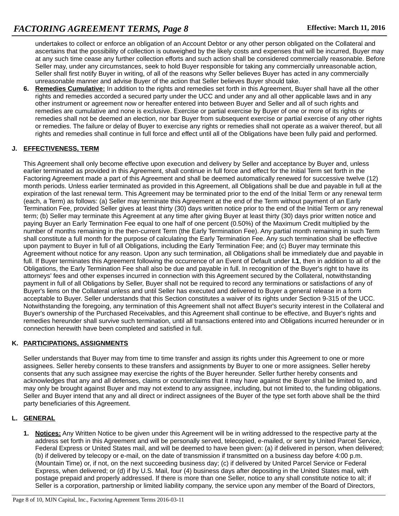undertakes to collect or enforce an obligation of an Account Debtor or any other person obligated on the Collateral and ascertains that the possibility of collection is outweighed by the likely costs and expenses that will be incurred, Buyer may at any such time cease any further collection efforts and such action shall be considered commercially reasonable. Before Seller may, under any circumstances, seek to hold Buyer responsible for taking any commercially unreasonable action, Seller shall first notify Buyer in writing, of all of the reasons why Seller believes Buyer has acted in any commercially unreasonable manner and advise Buyer of the action that Seller believes Buyer should take.

**6. Remedies Cumulative:** In addition to the rights and remedies set forth in this Agreement, Buyer shall have all the other rights and remedies accorded a secured party under the UCC and under any and all other applicable laws and in any other instrument or agreement now or hereafter entered into between Buyer and Seller and all of such rights and remedies are cumulative and none is exclusive. Exercise or partial exercise by Buyer of one or more of its rights or remedies shall not be deemed an election, nor bar Buyer from subsequent exercise or partial exercise of any other rights or remedies. The failure or delay of Buyer to exercise any rights or remedies shall not operate as a waiver thereof, but all rights and remedies shall continue in full force and effect until all of the Obligations have been fully paid and performed.

# **J. EFFECTIVENESS, TERM**

This Agreement shall only become effective upon execution and delivery by Seller and acceptance by Buyer and, unless earlier terminated as provided in this Agreement, shall continue in full force and effect for the Initial Term set forth in the Factoring Agreement made a part of this Agreement and shall be deemed automatically renewed for successive twelve (12) month periods. Unless earlier terminated as provided in this Agreement, all Obligations shall be due and payable in full at the expiration of the last renewal term. This Agreement may be terminated prior to the end of the Initial Term or any renewal term (each, a Term) as follows: (a) Seller may terminate this Agreement at the end of the Term without payment of an Early Termination Fee, provided Seller gives at least thirty (30) days written notice prior to the end of the Initial Term or any renewal term; (b) Seller may terminate this Agreement at any time after giving Buyer at least thirty (30) days prior written notice and paying Buyer an Early Termination Fee equal to one half of one percent (0.50%) of the Maximum Credit multiplied by the number of months remaining in the then-current Term (the Early Termination Fee). Any partial month remaining in such Term shall constitute a full month for the purpose of calculating the Early Termination Fee. Any such termination shall be effective upon payment to Buyer in full of all Obligations, including the Early Termination Fee; and (c) Buyer may terminate this Agreement without notice for any reason. Upon any such termination, all Obligations shall be immediately due and payable in full. If Buyer terminates this Agreement following the occurrence of an Event of Default under **I.1**, then in addition to all of the Obligations, the Early Termination Fee shall also be due and payable in full. In recognition of the Buyer's right to have its attorneys' fees and other expenses incurred in connection with this Agreement secured by the Collateral, notwithstanding payment in full of all Obligations by Seller, Buyer shall not be required to record any terminations or satisfactions of any of Buyer's liens on the Collateral unless and until Seller has executed and delivered to Buyer a general release in a form acceptable to Buyer. Seller understands that this Section constitutes a waiver of its rights under Section 9-315 of the UCC. Notwithstanding the foregoing, any termination of this Agreement shall not affect Buyer's security interest in the Collateral and Buyer's ownership of the Purchased Receivables, and this Agreement shall continue to be effective, and Buyer's rights and remedies hereunder shall survive such termination, until all transactions entered into and Obligations incurred hereunder or in connection herewith have been completed and satisfied in full.

### **K. PARTICIPATIONS, ASSIGNMENTS**

Seller understands that Buyer may from time to time transfer and assign its rights under this Agreement to one or more assignees. Seller hereby consents to these transfers and assignments by Buyer to one or more assignees. Seller hereby consents that any such assignee may exercise the rights of the Buyer hereunder. Seller further hereby consents and acknowledges that any and all defenses, claims or counterclaims that it may have against the Buyer shall be limited to, and may only be brought against Buyer and may not extend to any assignee, including, but not limited to, the funding obligations. Seller and Buyer intend that any and all direct or indirect assignees of the Buyer of the type set forth above shall be the third party beneficiaries of this Agreement.

# **L. GENERAL**

**1. Notices:** Any Written Notice to be given under this Agreement will be in writing addressed to the respective party at the address set forth in this Agreement and will be personally served, telecopied, e-mailed, or sent by United Parcel Service, Federal Express or United States mail, and will be deemed to have been given: (a) if delivered in person, when delivered; (b) if delivered by telecopy or e-mail, on the date of transmission if transmitted on a business day before 4:00 p.m. (Mountain Time) or, if not, on the next succeeding business day; (c) if delivered by United Parcel Service or Federal Express, when delivered; or (d) if by U.S. Mail, four (4) business days after depositing in the United States mail, with postage prepaid and properly addressed. If there is more than one Seller, notice to any shall constitute notice to all; if Seller is a corporation, partnership or limited liability company, the service upon any member of the Board of Directors,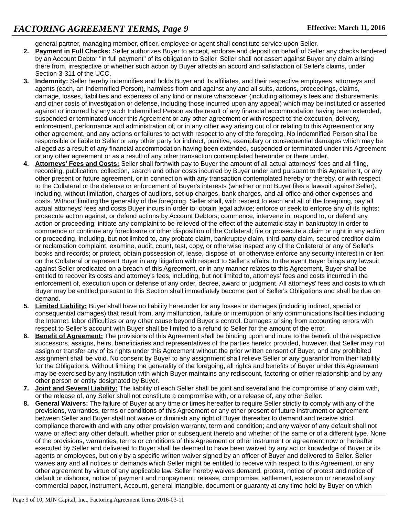general partner, managing member, officer, employee or agent shall constitute service upon Seller.

- **2. Payment in Full Checks:** Seller authorizes Buyer to accept, endorse and deposit on behalf of Seller any checks tendered by an Account Debtor "in full payment" of its obligation to Seller. Seller shall not assert against Buyer any claim arising there from, irrespective of whether such action by Buyer affects an accord and satisfaction of Seller's claims, under Section 3-311 of the UCC.
- **3. Indemnity:** Seller hereby indemnifies and holds Buyer and its affiliates, and their respective employees, attorneys and agents (each, an Indemnified Person), harmless from and against any and all suits, actions, proceedings, claims, damage, losses, liabilities and expenses of any kind or nature whatsoever (including attorney's fees and disbursements and other costs of investigation or defense, including those incurred upon any appeal) which may be instituted or asserted against or incurred by any such Indemnified Person as the result of any financial accommodation having been extended, suspended or terminated under this Agreement or any other agreement or with respect to the execution, delivery, enforcement, performance and administration of, or in any other way arising out of or relating to this Agreement or any other agreement, and any actions or failures to act with respect to any of the foregoing. No Indemnified Person shall be responsible or liable to Seller or any other party for indirect, punitive, exemplary or consequential damages which may be alleged as a result of any financial accommodation having been extended, suspended or terminated under this Agreement or any other agreement or as a result of any other transaction contemplated hereunder or there under.
- **4. Attorneys' Fees and Costs:** Seller shall forthwith pay to Buyer the amount of all actual attorneys' fees and all filing, recording, publication, collection, search and other costs incurred by Buyer under and pursuant to this Agreement, or any other present or future agreement, or in connection with any transaction contemplated hereby or thereby, or with respect to the Collateral or the defense or enforcement of Buyer's interests (whether or not Buyer files a lawsuit against Seller), including, without limitation, charges of auditors, set-up charges, bank charges, and all office and other expenses and costs. Without limiting the generality of the foregoing, Seller shall, with respect to each and all of the foregoing, pay all actual attorneys' fees and costs Buyer incurs in order to: obtain legal advice; enforce or seek to enforce any of its rights; prosecute action against, or defend actions by Account Debtors; commence, intervene in, respond to, or defend any action or proceeding; initiate any complaint to be relieved of the effect of the automatic stay in bankruptcy in order to commence or continue any foreclosure or other disposition of the Collateral; file or prosecute a claim or right in any action or proceeding, including, but not limited to, any probate claim, bankruptcy claim, third-party claim, secured creditor claim or reclamation complaint, examine, audit, count, test, copy, or otherwise inspect any of the Collateral or any of Seller's books and records; or protect, obtain possession of, lease, dispose of, or otherwise enforce any security interest in or lien on the Collateral or represent Buyer in any litigation with respect to Seller's affairs. In the event Buyer brings any lawsuit against Seller predicated on a breach of this Agreement, or in any manner relates to this Agreement, Buyer shall be entitled to recover its costs and attorney's fees, including, but not limited to, attorneys' fees and costs incurred in the enforcement of, execution upon or defense of any order, decree, award or judgment. All attorneys' fees and costs to which Buyer may be entitled pursuant to this Section shall immediately become part of Seller's Obligations and shall be due on demand.
- **5. Limited Liability:** Buyer shall have no liability hereunder for any losses or damages (including indirect, special or consequential damages) that result from, any malfunction, failure or interruption of any communications facilities including the Internet, labor difficulties or any other cause beyond Buyer's control. Damages arising from accounting errors with respect to Seller's account with Buyer shall be limited to a refund to Seller for the amount of the error.
- **6. Benefit of Agreement:** The provisions of this Agreement shall be binding upon and inure to the benefit of the respective successors, assigns, heirs, beneficiaries and representatives of the parties hereto; provided, however, that Seller may not assign or transfer any of its rights under this Agreement without the prior written consent of Buyer, and any prohibited assignment shall be void. No consent by Buyer to any assignment shall relieve Seller or any guarantor from their liability for the Obligations. Without limiting the generality of the foregoing, all rights and benefits of Buyer under this Agreement may be exercised by any institution with which Buyer maintains any rediscount, factoring or other relationship and by any other person or entity designated by Buyer.
- **7. Joint and Several Liability:** The liability of each Seller shall be joint and several and the compromise of any claim with, or the release of, any Seller shall not constitute a compromise with, or a release of, any other Seller.
- **8. General Waivers:** The failure of Buyer at any time or times hereafter to require Seller strictly to comply with any of the provisions, warranties, terms or conditions of this Agreement or any other present or future instrument or agreement between Seller and Buyer shall not waive or diminish any right of Buyer thereafter to demand and receive strict compliance therewith and with any other provision warranty, term and condition; and any waiver of any default shall not waive or affect any other default, whether prior or subsequent thereto and whether of the same or of a different type. None of the provisions, warranties, terms or conditions of this Agreement or other instrument or agreement now or hereafter executed by Seller and delivered to Buyer shall be deemed to have been waived by any act or knowledge of Buyer or its agents or employees, but only by a specific written waiver signed by an officer of Buyer and delivered to Seller. Seller waives any and all notices or demands which Seller might be entitled to receive with respect to this Agreement, or any other agreement by virtue of any applicable law. Seller hereby waives demand, protest, notice of protest and notice of default or dishonor, notice of payment and nonpayment, release, compromise, settlement, extension or renewal of any commercial paper, instrument, Account, general intangible, document or guaranty at any time held by Buyer on which